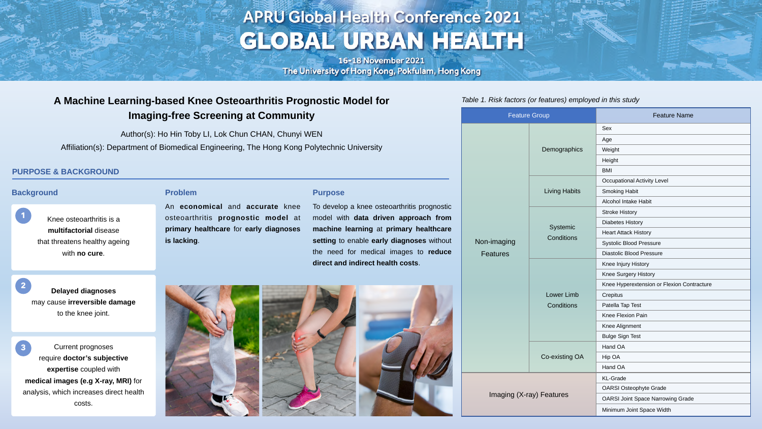# **APRU Global Health Conference 2021** GLOBAL URBAN HEALTH

16-18 November 2021 The University of Hong Kong, Pokfulam, Hong Kong

# **A Machine Learning-based Knee Osteoarthritis Prognostic Model for Imaging-free Screening at Community**

Author(s): Ho Hin Toby LI, Lok Chun CHAN, Chunyi WEN Affiliation(s): Department of Biomedical Engineering, The Hong Kong Polytechnic University

| <b>Feature Group</b>           |                                        | <b>Feature Name</b>                        |
|--------------------------------|----------------------------------------|--------------------------------------------|
| Non-imaging<br><b>Features</b> | Demographics                           | <b>Sex</b>                                 |
|                                |                                        | Age                                        |
|                                |                                        | Weight                                     |
|                                |                                        | Height                                     |
|                                |                                        | <b>BMI</b>                                 |
|                                | <b>Living Habits</b>                   | <b>Occupational Activity Level</b>         |
|                                |                                        | <b>Smoking Habit</b>                       |
|                                |                                        | <b>Alcohol Intake Habit</b>                |
|                                | <b>Systemic</b><br><b>Conditions</b>   | <b>Stroke History</b>                      |
|                                |                                        | <b>Diabetes History</b>                    |
|                                |                                        | <b>Heart Attack History</b>                |
|                                |                                        | <b>Systolic Blood Pressure</b>             |
|                                |                                        | <b>Diastolic Blood Pressure</b>            |
|                                | <b>Lower Limb</b><br><b>Conditions</b> | Knee Injury History                        |
|                                |                                        | <b>Knee Surgery History</b>                |
|                                |                                        | Knee Hyperextension or Flexion Contracture |
|                                |                                        | Crepitus                                   |
|                                |                                        | Patella Tap Test                           |
|                                |                                        | <b>Knee Flexion Pain</b>                   |
|                                |                                        | <b>Knee Alignment</b>                      |
|                                |                                        | <b>Bulge Sign Test</b>                     |
|                                | Co-existing OA                         | Hand OA                                    |
|                                |                                        | Hip OA                                     |
|                                |                                        | Hand OA                                    |
| Imaging (X-ray) Features       |                                        | <b>KL-Grade</b>                            |
|                                |                                        | <b>OARSI Osteophyte Grade</b>              |
|                                |                                        | <b>OARSI Joint Space Narrowing Grade</b>   |
|                                |                                        | Minimum Joint Space Width                  |



#### **Purpose**

To develop a knee osteoarthritis prognostic model with **data driven approach from machine learning** at **primary healthcare setting** to enable **early diagnoses** without the need for medical images to **reduce direct and indirect health costs**.

#### **Problem**

An **economical** and **accurate** knee osteoarthritis **prognostic model** at **primary healthcare** for **early diagnoses is lacking**.

#### **PURPOSE & BACKGROUND**

#### Table 1. Risk factors (or features) employed in this study

#### **Background**

Knee osteoarthritis is a **multifactorial** disease that threatens healthy ageing with **no cure**.

**Delayed diagnoses** may cause **irreversible damage** to the knee joint. **2**

Current prognoses require **doctor's subjective expertise** coupled with **medical images (e.g X-ray, MRI)** for analysis, which increases direct health costs. **3**





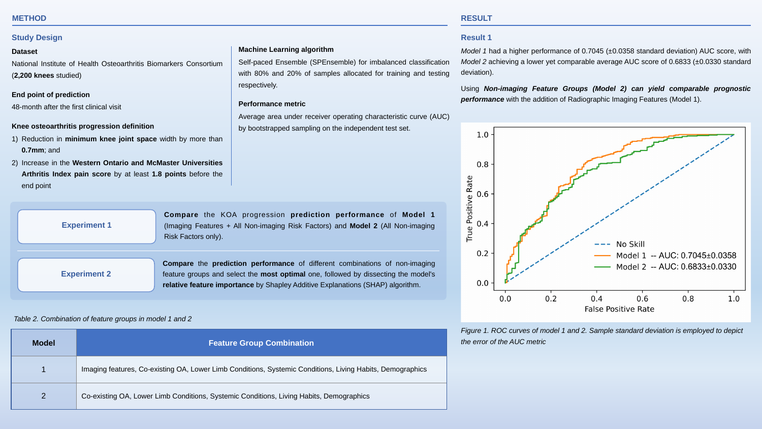#### **METHOD RESULT**

| <b>Model</b>   | <b>Feature Group Combination</b>                                                         |
|----------------|------------------------------------------------------------------------------------------|
|                | Imaging features, Co-existing OA, Lower Limb Conditions, Systemic Conditions, Living Hab |
| $\overline{2}$ | Co-existing OA, Lower Limb Conditions, Systemic Conditions, Living Habits, Demographics  |

#### Table 2. Combination of feature groups in model 1 and 2

Figure 1. ROC curves of model 1 and 2. Sample standard deviation is employed to depict the error of the AUC metric

Habits, Demographics

#### **Study Design**

#### **Dataset**

National Institute of Health Osteoarthritis Biomarkers Consortium (**2,200 knees** studied)

#### **End point of prediction**

48-month after the first clinical visit

#### **Knee osteoarthritis progression definition**

- 1) Reduction in **minimum knee joint space** width by more than **0.7mm**; and
- 2) Increase in the **Western Ontario and McMaster Universities Arthritis Index pain score** by at least **1.8 points** before the end point

#### **Machine Learning algorithm**

Model 1 had a higher performance of 0.7045 (±0.0358 standard deviation) AUC score, with Model 2 achieving a lower yet comparable average AUC score of 0.6833 (±0.0330 standard deviation).

Self-paced Ensemble (SPEnsemble) for imbalanced classification with 80% and 20% of samples allocated for training and testing respectively.

#### **Performance metric**

Average area under receiver operating characteristic curve (AUC) by bootstrapped sampling on the independent test set.



#### **Result 1**



**performance** with the addition of Radiographic Imaging Features (Model 1).